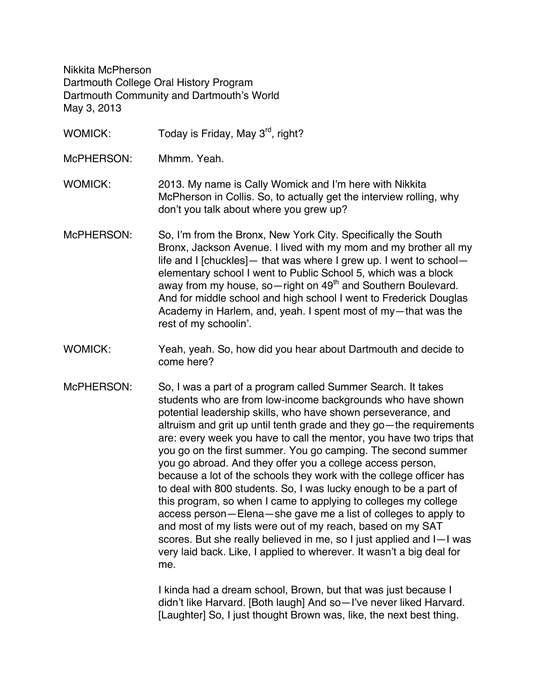Nikkita McPherson Dartmouth College Oral History Program Dartmouth Community and Dartmouth's World May 3, 2013

- WOMICK: Today is Friday, May 3<sup>rd</sup>, right?
- McPHERSON: Mhmm. Yeah.
- WOMICK: 2013. My name is Cally Womick and I'm here with Nikkita McPherson in Collis. So, to actually get the interview rolling, why don't you talk about where you grew up?
- McPHERSON: So, I'm from the Bronx, New York City. Specifically the South Bronx, Jackson Avenue. I lived with my mom and my brother all my life and I [chuckles]— that was where I grew up. I went to school elementary school I went to Public School 5, which was a block away from my house, so-right on  $49<sup>th</sup>$  and Southern Boulevard. And for middle school and high school I went to Frederick Douglas Academy in Harlem, and, yeah. I spent most of my—that was the rest of my schoolin'.
- WOMICK: Yeah, yeah. So, how did you hear about Dartmouth and decide to come here?
- McPHERSON: So, I was a part of a program called Summer Search. It takes students who are from low-income backgrounds who have shown potential leadership skills, who have shown perseverance, and altruism and grit up until tenth grade and they go—the requirements are: every week you have to call the mentor, you have two trips that you go on the first summer. You go camping. The second summer you go abroad. And they offer you a college access person, because a lot of the schools they work with the college officer has to deal with 800 students. So, I was lucky enough to be a part of this program, so when I came to applying to colleges my college access person—Elena—she gave me a list of colleges to apply to and most of my lists were out of my reach, based on my SAT scores. But she really believed in me, so I just applied and I—I was very laid back. Like, I applied to wherever. It wasn't a big deal for me.

I kinda had a dream school, Brown, but that was just because I didn't like Harvard. [Both laugh] And so—I've never liked Harvard. [Laughter] So, I just thought Brown was, like, the next best thing.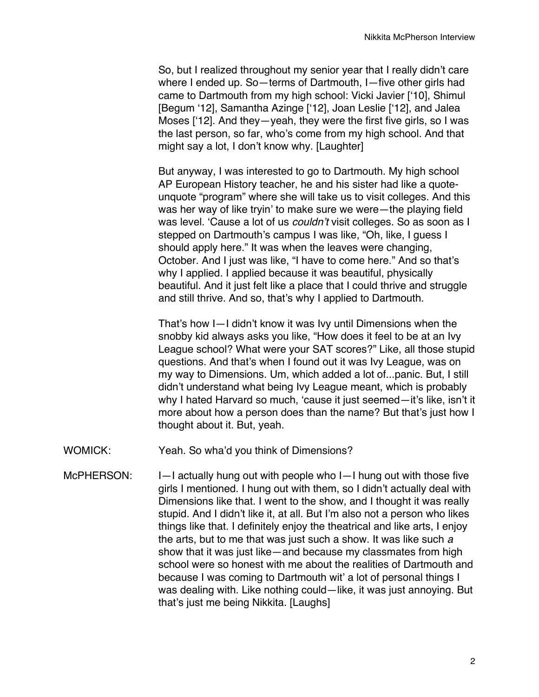So, but I realized throughout my senior year that I really didn't care where I ended up. So—terms of Dartmouth, I—five other girls had came to Dartmouth from my high school: Vicki Javier ['10], Shimul [Begum '12], Samantha Azinge ['12], Joan Leslie ['12], and Jalea Moses ['12]. And they—yeah, they were the first five girls, so I was the last person, so far, who's come from my high school. And that might say a lot. I don't know why. [Laughter]

But anyway, I was interested to go to Dartmouth. My high school AP European History teacher, he and his sister had like a quoteunquote "program" where she will take us to visit colleges. And this was her way of like tryin' to make sure we were—the playing field was level. 'Cause a lot of us *couldn't* visit colleges. So as soon as I stepped on Dartmouth's campus I was like, "Oh, like, I guess I should apply here." It was when the leaves were changing, October. And I just was like, "I have to come here." And so that's why I applied. I applied because it was beautiful, physically beautiful. And it just felt like a place that I could thrive and struggle and still thrive. And so, that's why I applied to Dartmouth.

That's how I—I didn't know it was Ivy until Dimensions when the snobby kid always asks you like, "How does it feel to be at an Ivy League school? What were your SAT scores?" Like, all those stupid questions. And that's when I found out it was Ivy League, was on my way to Dimensions. Um, which added a lot of...panic. But, I still didn't understand what being Ivy League meant, which is probably why I hated Harvard so much, 'cause it just seemed—it's like, isn't it more about how a person does than the name? But that's just how I thought about it. But, yeah.

- WOMICK: Yeah. So wha'd you think of Dimensions?
- McPHERSON: I—I actually hung out with people who I—I hung out with those five girls I mentioned. I hung out with them, so I didn't actually deal with Dimensions like that. I went to the show, and I thought it was really stupid. And I didn't like it, at all. But I'm also not a person who likes things like that. I definitely enjoy the theatrical and like arts, I enjoy the arts, but to me that was just such a show. It was like such *a*  show that it was just like—and because my classmates from high school were so honest with me about the realities of Dartmouth and because I was coming to Dartmouth wit' a lot of personal things I was dealing with. Like nothing could—like, it was just annoying. But that's just me being Nikkita. [Laughs]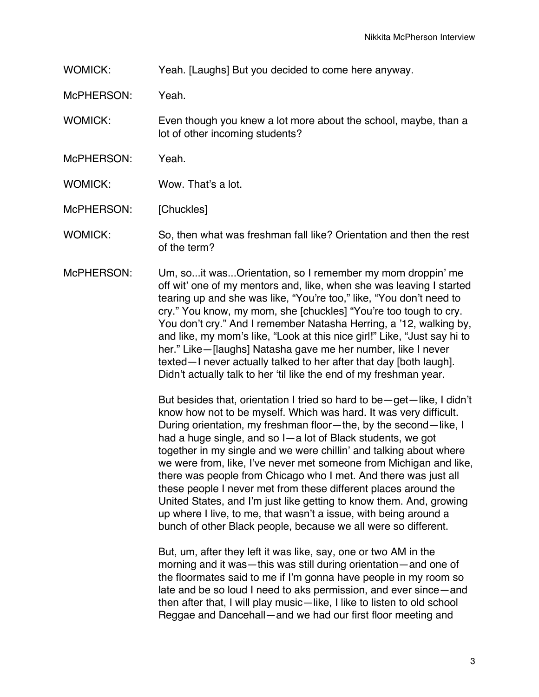WOMICK: Yeah. [Laughs] But you decided to come here anyway.

McPHERSON: Yeah.

WOMICK: Even though you knew a lot more about the school, maybe, than a lot of other incoming students?

- McPHERSON: Yeah.
- WOMICK: Wow. That's a lot.

McPHERSON: [Chuckles]

WOMICK: So, then what was freshman fall like? Orientation and then the rest of the term?

McPHERSON: Um, so...it was...Orientation, so I remember my mom droppin' me off wit' one of my mentors and, like, when she was leaving I started tearing up and she was like, "You're too," like, "You don't need to cry." You know, my mom, she [chuckles] "You're too tough to cry. You don't cry." And I remember Natasha Herring, a '12, walking by, and like, my mom's like, "Look at this nice girl!" Like, "Just say hi to her." Like—[laughs] Natasha gave me her number, like I never texted—I never actually talked to her after that day [both laugh]. Didn't actually talk to her 'til like the end of my freshman year.

> But besides that, orientation I tried so hard to be—get—like, I didn't know how not to be myself. Which was hard. It was very difficult. During orientation, my freshman floor—the, by the second—like, I had a huge single, and so I—a lot of Black students, we got together in my single and we were chillin' and talking about where we were from, like, I've never met someone from Michigan and like, there was people from Chicago who I met. And there was just all these people I never met from these different places around the United States, and I'm just like getting to know them. And, growing up where I live, to me, that wasn't a issue, with being around a bunch of other Black people, because we all were so different.

But, um, after they left it was like, say, one or two AM in the morning and it was—this was still during orientation—and one of the floormates said to me if I'm gonna have people in my room so late and be so loud I need to aks permission, and ever since—and then after that, I will play music—like, I like to listen to old school Reggae and Dancehall—and we had our first floor meeting and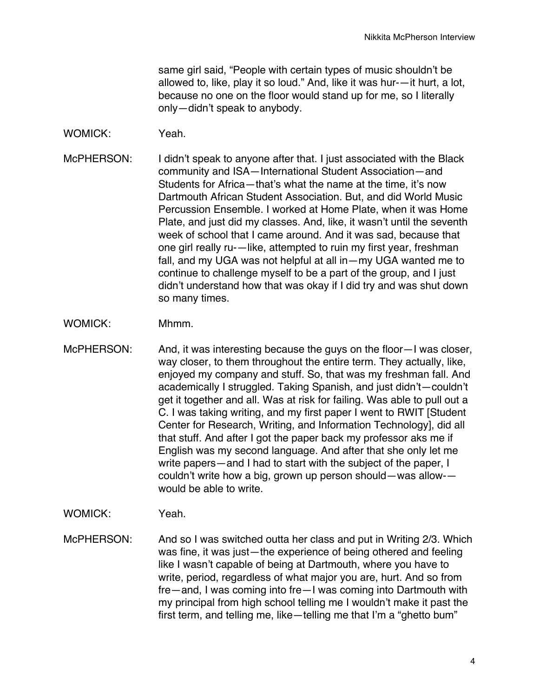same girl said, "People with certain types of music shouldn't be allowed to, like, play it so loud." And, like it was hur-—it hurt, a lot, because no one on the floor would stand up for me, so I literally only—didn't speak to anybody.

WOMICK: Yeah.

McPHERSON: I didn't speak to anyone after that. I just associated with the Black community and ISA—International Student Association—and Students for Africa—that's what the name at the time, it's now Dartmouth African Student Association. But, and did World Music Percussion Ensemble. I worked at Home Plate, when it was Home Plate, and just did my classes. And, like, it wasn't until the seventh week of school that I came around. And it was sad, because that one girl really ru-—like, attempted to ruin my first year, freshman fall, and my UGA was not helpful at all in—my UGA wanted me to continue to challenge myself to be a part of the group, and I just didn't understand how that was okay if I did try and was shut down so many times.

- WOMICK: Mhmm.
- McPHERSON: And, it was interesting because the guys on the floor-I was closer, way closer, to them throughout the entire term. They actually, like, enjoyed my company and stuff. So, that was my freshman fall. And academically I struggled. Taking Spanish, and just didn't—couldn't get it together and all. Was at risk for failing. Was able to pull out a C. I was taking writing, and my first paper I went to RWIT [Student Center for Research, Writing, and Information Technology], did all that stuff. And after I got the paper back my professor aks me if English was my second language. And after that she only let me write papers—and I had to start with the subject of the paper, I couldn't write how a big, grown up person should—was allow- would be able to write.

WOMICK: Yeah.

McPHERSON: And so I was switched outta her class and put in Writing 2/3. Which was fine, it was just—the experience of being othered and feeling like I wasn't capable of being at Dartmouth, where you have to write, period, regardless of what major you are, hurt. And so from fre—and, I was coming into fre—I was coming into Dartmouth with my principal from high school telling me I wouldn't make it past the first term, and telling me, like—telling me that I'm a "ghetto bum"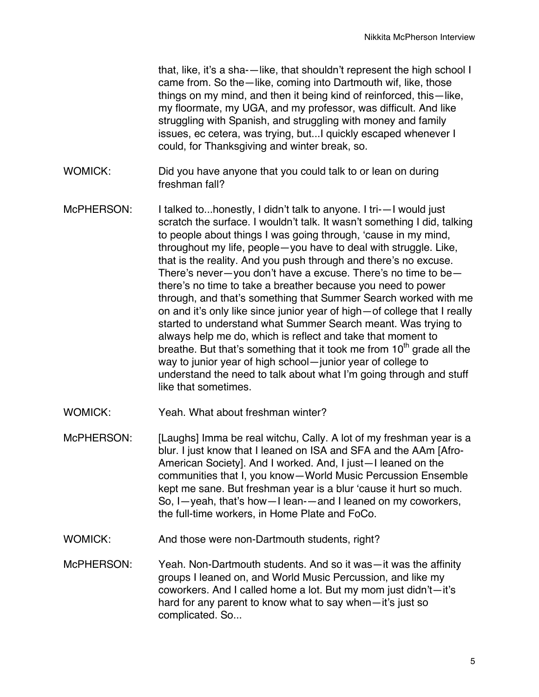that, like, it's a sha-—like, that shouldn't represent the high school I came from. So the—like, coming into Dartmouth wif, like, those things on my mind, and then it being kind of reinforced, this—like, my floormate, my UGA, and my professor, was difficult. And like struggling with Spanish, and struggling with money and family issues, ec cetera, was trying, but...I quickly escaped whenever I could, for Thanksgiving and winter break, so.

- WOMICK: Did you have anyone that you could talk to or lean on during freshman fall?
- McPHERSON: I talked to...honestly, I didn't talk to anyone. I tri--I would just scratch the surface. I wouldn't talk. It wasn't something I did, talking to people about things I was going through, 'cause in my mind, throughout my life, people—you have to deal with struggle. Like, that is the reality. And you push through and there's no excuse. There's never—you don't have a excuse. There's no time to be there's no time to take a breather because you need to power through, and that's something that Summer Search worked with me on and it's only like since junior year of high—of college that I really started to understand what Summer Search meant. Was trying to always help me do, which is reflect and take that moment to breathe. But that's something that it took me from  $10<sup>th</sup>$  grade all the way to junior year of high school—junior year of college to understand the need to talk about what I'm going through and stuff like that sometimes.
- WOMICK: Yeah. What about freshman winter?
- McPHERSON: [Laughs] Imma be real witchu, Cally. A lot of my freshman year is a blur. I just know that I leaned on ISA and SFA and the AAm [Afro-American Society]. And I worked. And, I just—I leaned on the communities that I, you know—World Music Percussion Ensemble kept me sane. But freshman year is a blur 'cause it hurt so much. So, I—yeah, that's how—I lean-—and I leaned on my coworkers, the full-time workers, in Home Plate and FoCo.
- WOMICK: And those were non-Dartmouth students, right?
- McPHERSON: Yeah. Non-Dartmouth students. And so it was—it was the affinity groups I leaned on, and World Music Percussion, and like my coworkers. And I called home a lot. But my mom just didn't—it's hard for any parent to know what to say when—it's just so complicated. So...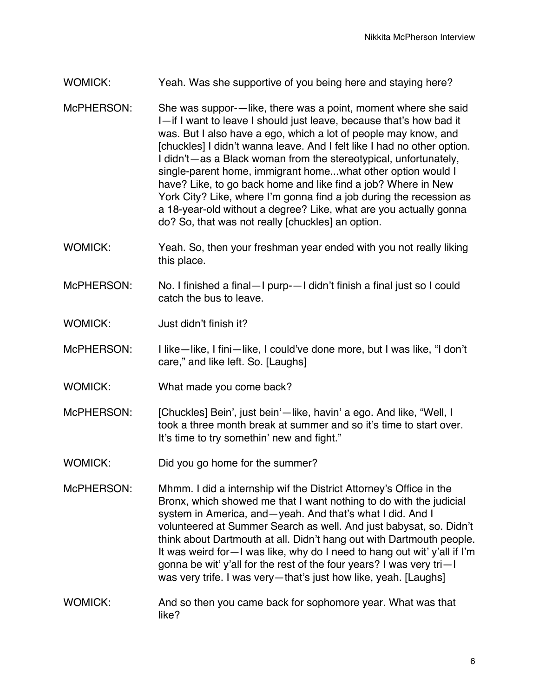## WOMICK: Yeah. Was she supportive of you being here and staying here?

- McPHERSON: She was suppor-—like, there was a point, moment where she said I—if I want to leave I should just leave, because that's how bad it was. But I also have a ego, which a lot of people may know, and [chuckles] I didn't wanna leave. And I felt like I had no other option. I didn't—as a Black woman from the stereotypical, unfortunately, single-parent home, immigrant home...what other option would I have? Like, to go back home and like find a job? Where in New York City? Like, where I'm gonna find a job during the recession as a 18-year-old without a degree? Like, what are you actually gonna do? So, that was not really [chuckles] an option.
- WOMICK: Yeah. So, then your freshman year ended with you not really liking this place.
- McPHERSON: No. I finished a final—I purp-—I didn't finish a final just so I could catch the bus to leave.
- WOMICK: Just didn't finish it?
- McPHERSON: I like—like, I fini—like, I could've done more, but I was like, "I don't care," and like left. So. [Laughs]
- WOMICK: What made you come back?
- McPHERSON: [Chuckles] Bein', just bein'—like, havin' a ego. And like, "Well, I took a three month break at summer and so it's time to start over. It's time to try somethin' new and fight."
- WOMICK: Did you go home for the summer?
- McPHERSON: Mhmm. I did a internship wif the District Attorney's Office in the Bronx, which showed me that I want nothing to do with the judicial system in America, and—yeah. And that's what I did. And I volunteered at Summer Search as well. And just babysat, so. Didn't think about Dartmouth at all. Didn't hang out with Dartmouth people. It was weird for—I was like, why do I need to hang out wit' y'all if I'm gonna be wit' y'all for the rest of the four years? I was very tri—I was very trife. I was very—that's just how like, yeah. [Laughs]
- WOMICK: And so then you came back for sophomore year. What was that like?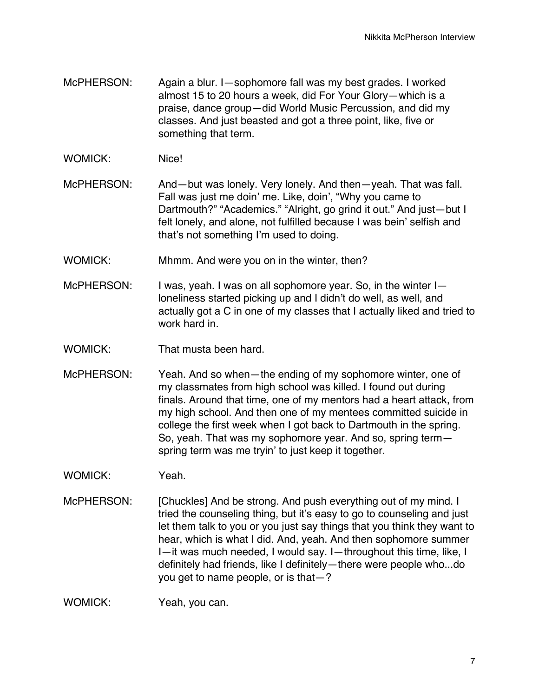- McPHERSON: Again a blur. I—sophomore fall was my best grades. I worked almost 15 to 20 hours a week, did For Your Glory—which is a praise, dance group—did World Music Percussion, and did my classes. And just beasted and got a three point, like, five or something that term.
- WOMICK: Nice!
- McPHERSON: And—but was lonely. Very lonely. And then—yeah. That was fall. Fall was just me doin' me. Like, doin', "Why you came to Dartmouth?" "Academics." "Alright, go grind it out." And just—but I felt lonely, and alone, not fulfilled because I was bein' selfish and that's not something I'm used to doing.
- WOMICK: Mhmm. And were you on in the winter, then?
- McPHERSON: I was, yeah. I was on all sophomore year. So, in the winter Iloneliness started picking up and I didn't do well, as well, and actually got a C in one of my classes that I actually liked and tried to work hard in.
- WOMICK: That musta been hard.
- McPHERSON: Yeah. And so when—the ending of my sophomore winter, one of my classmates from high school was killed. I found out during finals. Around that time, one of my mentors had a heart attack, from my high school. And then one of my mentees committed suicide in college the first week when I got back to Dartmouth in the spring. So, yeah. That was my sophomore year. And so, spring term spring term was me tryin' to just keep it together.
- WOMICK: Yeah.
- McPHERSON: [Chuckles] And be strong. And push everything out of my mind. I tried the counseling thing, but it's easy to go to counseling and just let them talk to you or you just say things that you think they want to hear, which is what I did. And, yeah. And then sophomore summer I—it was much needed, I would say. I—throughout this time, like, I definitely had friends, like I definitely—there were people who...do you get to name people, or is that—?

WOMICK: Yeah, you can.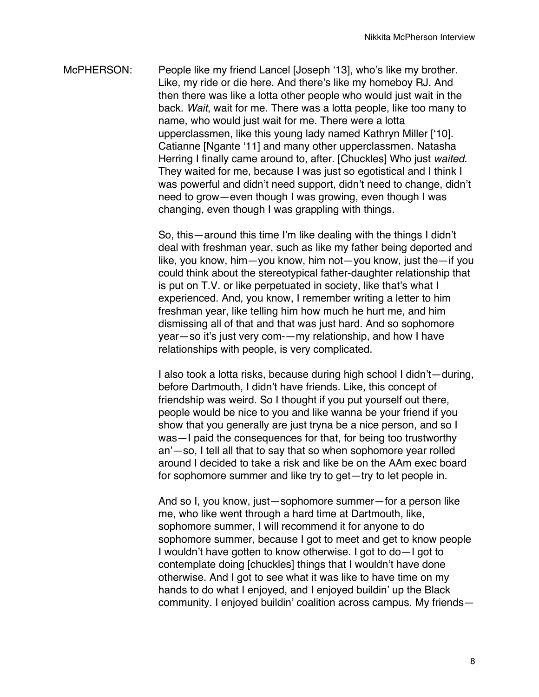McPHERSON: People like my friend Lancel [Joseph '13], who's like my brother. Like, my ride or die here. And there's like my homeboy RJ. And then there was like a lotta other people who would just wait in the back. *Wait*, wait for me. There was a lotta people, like too many to name, who would just wait for me. There were a lotta upperclassmen, like this young lady named Kathryn Miller ['10]. Catianne [Ngante '11] and many other upperclassmen. Natasha Herring I finally came around to, after. [Chuckles] Who just *waited.*  They waited for me, because I was just so egotistical and I think I was powerful and didn't need support, didn't need to change, didn't need to grow—even though I was growing, even though I was changing, even though I was grappling with things.

> So, this—around this time I'm like dealing with the things I didn't deal with freshman year, such as like my father being deported and like, you know, him—you know, him not—you know, just the—if you could think about the stereotypical father-daughter relationship that is put on T.V. or like perpetuated in society, like that's what I experienced. And, you know, I remember writing a letter to him freshman year, like telling him how much he hurt me, and him dismissing all of that and that was just hard. And so sophomore year—so it's just very com-—my relationship, and how I have relationships with people, is very complicated.

> I also took a lotta risks, because during high school I didn't—during, before Dartmouth, I didn't have friends. Like, this concept of friendship was weird. So I thought if you put yourself out there, people would be nice to you and like wanna be your friend if you show that you generally are just tryna be a nice person, and so I was—I paid the consequences for that, for being too trustworthy an'—so, I tell all that to say that so when sophomore year rolled around I decided to take a risk and like be on the AAm exec board for sophomore summer and like try to get—try to let people in.

> And so I, you know, just—sophomore summer—for a person like me, who like went through a hard time at Dartmouth, like, sophomore summer, I will recommend it for anyone to do sophomore summer, because I got to meet and get to know people I wouldn't have gotten to know otherwise. I got to do—I got to contemplate doing [chuckles] things that I wouldn't have done otherwise. And I got to see what it was like to have time on my hands to do what I enjoyed, and I enjoyed buildin' up the Black community. I enjoyed buildin' coalition across campus. My friends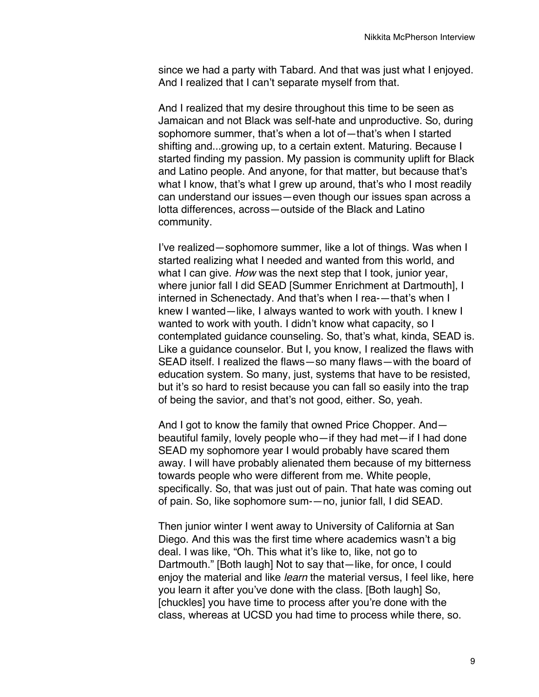since we had a party with Tabard. And that was just what I enjoyed. And I realized that I can't separate myself from that.

And I realized that my desire throughout this time to be seen as Jamaican and not Black was self-hate and unproductive. So, during sophomore summer, that's when a lot of—that's when I started shifting and...growing up, to a certain extent. Maturing. Because I started finding my passion. My passion is community uplift for Black and Latino people. And anyone, for that matter, but because that's what I know, that's what I grew up around, that's who I most readily can understand our issues—even though our issues span across a lotta differences, across—outside of the Black and Latino community.

I've realized—sophomore summer, like a lot of things. Was when I started realizing what I needed and wanted from this world, and what I can give. *How* was the next step that I took, junior year, where junior fall I did SEAD [Summer Enrichment at Dartmouth], I interned in Schenectady. And that's when I rea-—that's when I knew I wanted—like, I always wanted to work with youth. I knew I wanted to work with youth. I didn't know what capacity, so I contemplated guidance counseling. So, that's what, kinda, SEAD is. Like a guidance counselor. But I, you know, I realized the flaws with SEAD itself. I realized the flaws—so many flaws—with the board of education system. So many, just, systems that have to be resisted, but it's so hard to resist because you can fall so easily into the trap of being the savior, and that's not good, either. So, yeah.

And I got to know the family that owned Price Chopper. And beautiful family, lovely people who—if they had met—if I had done SEAD my sophomore year I would probably have scared them away. I will have probably alienated them because of my bitterness towards people who were different from me. White people, specifically. So, that was just out of pain. That hate was coming out of pain. So, like sophomore sum-—no, junior fall, I did SEAD.

Then junior winter I went away to University of California at San Diego. And this was the first time where academics wasn't a big deal. I was like, "Oh. This what it's like to, like, not go to Dartmouth." [Both laugh] Not to say that—like, for once, I could enjoy the material and like *learn* the material versus, I feel like, here you learn it after you've done with the class. [Both laugh] So, [chuckles] you have time to process after you're done with the class, whereas at UCSD you had time to process while there, so.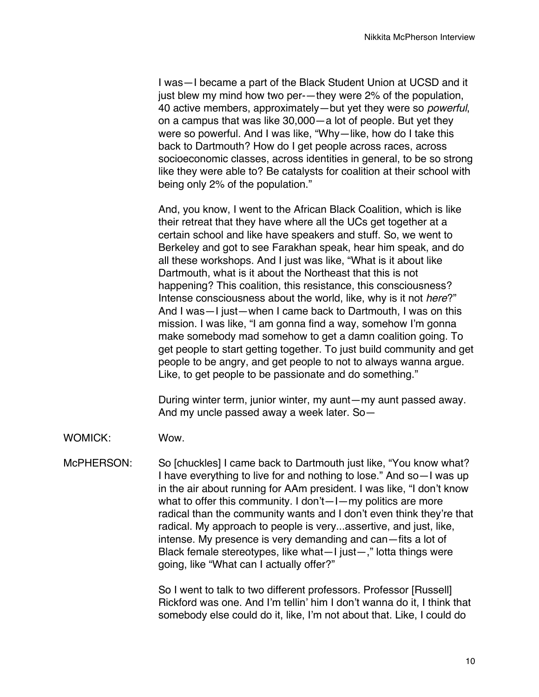I was—I became a part of the Black Student Union at UCSD and it just blew my mind how two per-—they were 2% of the population, 40 active members, approximately—but yet they were so *powerful*, on a campus that was like 30,000—a lot of people. But yet they were so powerful. And I was like, "Why—like, how do I take this back to Dartmouth? How do I get people across races, across socioeconomic classes, across identities in general, to be so strong like they were able to? Be catalysts for coalition at their school with being only 2% of the population."

And, you know, I went to the African Black Coalition, which is like their retreat that they have where all the UCs get together at a certain school and like have speakers and stuff. So, we went to Berkeley and got to see Farakhan speak, hear him speak, and do all these workshops. And I just was like, "What is it about like Dartmouth, what is it about the Northeast that this is not happening? This coalition, this resistance, this consciousness? Intense consciousness about the world, like, why is it not *here*?" And I was—I just—when I came back to Dartmouth, I was on this mission. I was like, "I am gonna find a way, somehow I'm gonna make somebody mad somehow to get a damn coalition going. To get people to start getting together. To just build community and get people to be angry, and get people to not to always wanna argue. Like, to get people to be passionate and do something."

During winter term, junior winter, my aunt—my aunt passed away. And my uncle passed away a week later. So—

WOMICK: Wow.

McPHERSON: So [chuckles] I came back to Dartmouth just like, "You know what? I have everything to live for and nothing to lose." And so—I was up in the air about running for AAm president. I was like, "I don't know what to offer this community. I don't-I-my politics are more radical than the community wants and I don't even think they're that radical. My approach to people is very...assertive, and just, like, intense. My presence is very demanding and can—fits a lot of Black female stereotypes, like what—I just—," lotta things were going, like "What can I actually offer?"

> So I went to talk to two different professors. Professor [Russell] Rickford was one. And I'm tellin' him I don't wanna do it, I think that somebody else could do it, like, I'm not about that. Like, I could do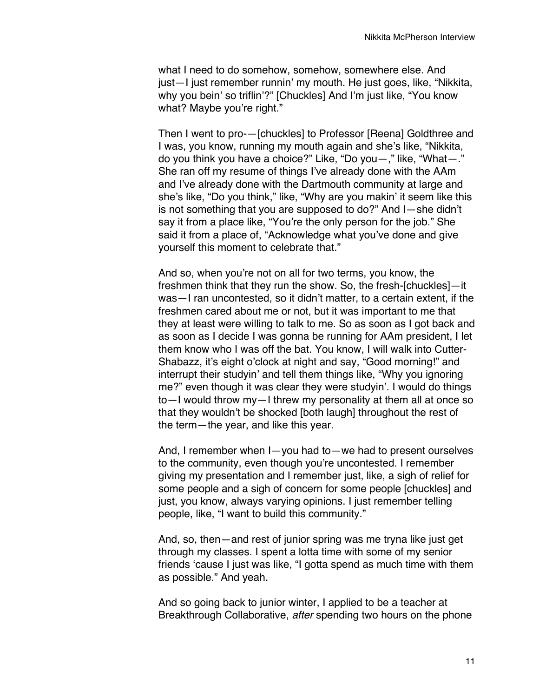what I need to do somehow, somehow, somewhere else. And just—I just remember runnin' my mouth. He just goes, like, "Nikkita, why you bein' so triflin'?" [Chuckles] And I'm just like, "You know what? Maybe you're right."

Then I went to pro-—[chuckles] to Professor [Reena] Goldthree and I was, you know, running my mouth again and she's like, "Nikkita, do you think you have a choice?" Like, "Do you—," like, "What—." She ran off my resume of things I've already done with the AAm and I've already done with the Dartmouth community at large and she's like, "Do you think," like, "Why are you makin' it seem like this is not something that you are supposed to do?" And I—she didn't say it from a place like, "You're the only person for the job." She said it from a place of, "Acknowledge what you've done and give yourself this moment to celebrate that."

And so, when you're not on all for two terms, you know, the freshmen think that they run the show. So, the fresh-[chuckles]—it was—I ran uncontested, so it didn't matter, to a certain extent, if the freshmen cared about me or not, but it was important to me that they at least were willing to talk to me. So as soon as I got back and as soon as I decide I was gonna be running for AAm president, I let them know who I was off the bat. You know, I will walk into Cutter-Shabazz, it's eight o'clock at night and say, "Good morning!" and interrupt their studyin' and tell them things like, "Why you ignoring me?" even though it was clear they were studyin'. I would do things to—I would throw my—I threw my personality at them all at once so that they wouldn't be shocked [both laugh] throughout the rest of the term—the year, and like this year.

And, I remember when I—you had to—we had to present ourselves to the community, even though you're uncontested. I remember giving my presentation and I remember just, like, a sigh of relief for some people and a sigh of concern for some people [chuckles] and just, you know, always varying opinions. I just remember telling people, like, "I want to build this community."

And, so, then—and rest of junior spring was me tryna like just get through my classes. I spent a lotta time with some of my senior friends 'cause I just was like, "I gotta spend as much time with them as possible." And yeah.

And so going back to junior winter, I applied to be a teacher at Breakthrough Collaborative, *after* spending two hours on the phone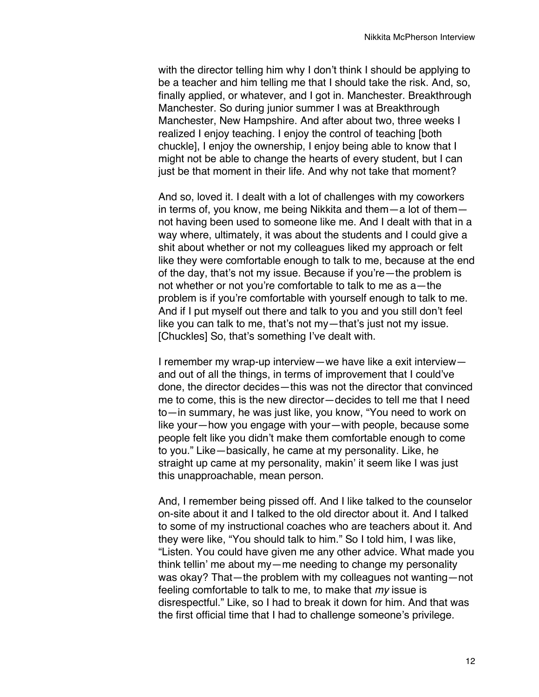with the director telling him why I don't think I should be applying to be a teacher and him telling me that I should take the risk. And, so, finally applied, or whatever, and I got in. Manchester. Breakthrough Manchester. So during junior summer I was at Breakthrough Manchester, New Hampshire. And after about two, three weeks I realized I enjoy teaching. I enjoy the control of teaching [both chuckle], I enjoy the ownership, I enjoy being able to know that I might not be able to change the hearts of every student, but I can just be that moment in their life. And why not take that moment?

And so, loved it. I dealt with a lot of challenges with my coworkers in terms of, you know, me being Nikkita and them—a lot of them not having been used to someone like me. And I dealt with that in a way where, ultimately, it was about the students and I could give a shit about whether or not my colleagues liked my approach or felt like they were comfortable enough to talk to me, because at the end of the day, that's not my issue. Because if you're—the problem is not whether or not you're comfortable to talk to me as a—the problem is if you're comfortable with yourself enough to talk to me. And if I put myself out there and talk to you and you still don't feel like you can talk to me, that's not my—that's just not my issue. [Chuckles] So, that's something I've dealt with.

I remember my wrap-up interview—we have like a exit interview and out of all the things, in terms of improvement that I could've done, the director decides—this was not the director that convinced me to come, this is the new director—decides to tell me that I need to—in summary, he was just like, you know, "You need to work on like your—how you engage with your—with people, because some people felt like you didn't make them comfortable enough to come to you." Like—basically, he came at my personality. Like, he straight up came at my personality, makin' it seem like I was just this unapproachable, mean person.

And, I remember being pissed off. And I like talked to the counselor on-site about it and I talked to the old director about it. And I talked to some of my instructional coaches who are teachers about it. And they were like, "You should talk to him." So I told him, I was like, "Listen. You could have given me any other advice. What made you think tellin' me about my—me needing to change my personality was okay? That—the problem with my colleagues not wanting—not feeling comfortable to talk to me, to make that *my* issue is disrespectful." Like, so I had to break it down for him. And that was the first official time that I had to challenge someone's privilege.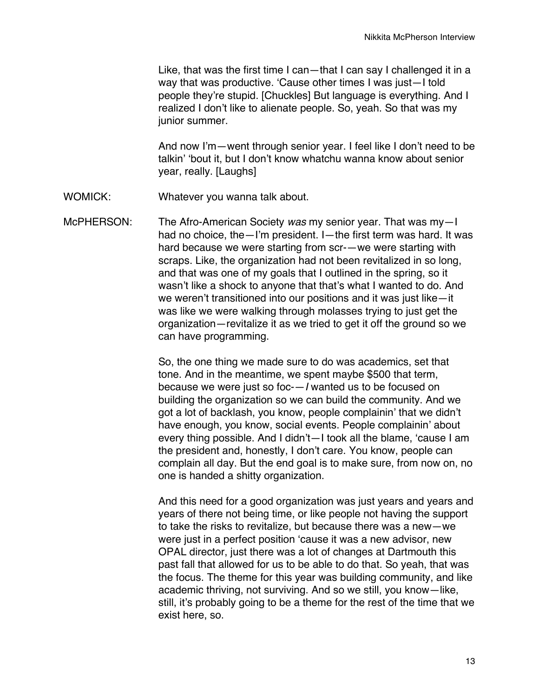Like, that was the first time I can—that I can say I challenged it in a way that was productive. 'Cause other times I was just—I told people they're stupid. [Chuckles] But language is everything. And I realized I don't like to alienate people. So, yeah. So that was my junior summer.

And now I'm—went through senior year. I feel like I don't need to be talkin' 'bout it, but I don't know whatchu wanna know about senior year, really. [Laughs]

WOMICK: Whatever you wanna talk about.

McPHERSON: The Afro-American Society *was* my senior year. That was my—I had no choice, the—I'm president. I—the first term was hard. It was hard because we were starting from scr-—we were starting with scraps. Like, the organization had not been revitalized in so long, and that was one of my goals that I outlined in the spring, so it wasn't like a shock to anyone that that's what I wanted to do. And we weren't transitioned into our positions and it was just like—it was like we were walking through molasses trying to just get the organization—revitalize it as we tried to get it off the ground so we can have programming.

> So, the one thing we made sure to do was academics, set that tone. And in the meantime, we spent maybe \$500 that term, because we were just so foc-—*I* wanted us to be focused on building the organization so we can build the community. And we got a lot of backlash, you know, people complainin' that we didn't have enough, you know, social events. People complainin' about every thing possible. And I didn't—I took all the blame, 'cause I am the president and, honestly, I don't care. You know, people can complain all day. But the end goal is to make sure, from now on, no one is handed a shitty organization.

> And this need for a good organization was just years and years and years of there not being time, or like people not having the support to take the risks to revitalize, but because there was a new—we were just in a perfect position 'cause it was a new advisor, new OPAL director, just there was a lot of changes at Dartmouth this past fall that allowed for us to be able to do that. So yeah, that was the focus. The theme for this year was building community, and like academic thriving, not surviving. And so we still, you know—like, still, it's probably going to be a theme for the rest of the time that we exist here, so.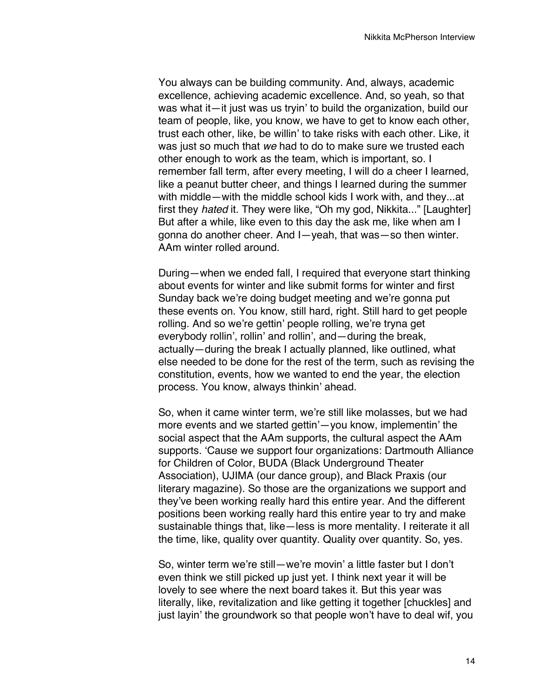You always can be building community. And, always, academic excellence, achieving academic excellence. And, so yeah, so that was what it—it just was us tryin' to build the organization, build our team of people, like, you know, we have to get to know each other, trust each other, like, be willin' to take risks with each other. Like, it was just so much that *we* had to do to make sure we trusted each other enough to work as the team, which is important, so. I remember fall term, after every meeting, I will do a cheer I learned, like a peanut butter cheer, and things I learned during the summer with middle—with the middle school kids I work with, and they...at first they *hated* it. They were like, "Oh my god, Nikkita..." [Laughter] But after a while, like even to this day the ask me, like when am I gonna do another cheer. And I—yeah, that was—so then winter. AAm winter rolled around.

During—when we ended fall, I required that everyone start thinking about events for winter and like submit forms for winter and first Sunday back we're doing budget meeting and we're gonna put these events on. You know, still hard, right. Still hard to get people rolling. And so we're gettin' people rolling, we're tryna get everybody rollin', rollin' and rollin', and—during the break, actually—during the break I actually planned, like outlined, what else needed to be done for the rest of the term, such as revising the constitution, events, how we wanted to end the year, the election process. You know, always thinkin' ahead.

So, when it came winter term, we're still like molasses, but we had more events and we started gettin'—you know, implementin' the social aspect that the AAm supports, the cultural aspect the AAm supports. 'Cause we support four organizations: Dartmouth Alliance for Children of Color, BUDA (Black Underground Theater Association), UJIMA (our dance group), and Black Praxis (our literary magazine). So those are the organizations we support and they've been working really hard this entire year. And the different positions been working really hard this entire year to try and make sustainable things that, like—less is more mentality. I reiterate it all the time, like, quality over quantity. Quality over quantity. So, yes.

So, winter term we're still—we're movin' a little faster but I don't even think we still picked up just yet. I think next year it will be lovely to see where the next board takes it. But this year was literally, like, revitalization and like getting it together [chuckles] and just layin' the groundwork so that people won't have to deal wif, you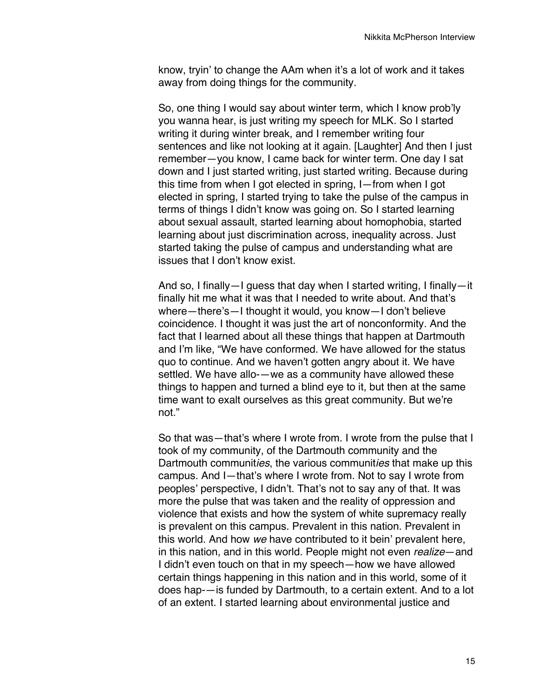know, tryin' to change the AAm when it's a lot of work and it takes away from doing things for the community.

So, one thing I would say about winter term, which I know prob'ly you wanna hear, is just writing my speech for MLK. So I started writing it during winter break, and I remember writing four sentences and like not looking at it again. [Laughter] And then I just remember—you know, I came back for winter term. One day I sat down and I just started writing, just started writing. Because during this time from when I got elected in spring, I—from when I got elected in spring, I started trying to take the pulse of the campus in terms of things I didn't know was going on. So I started learning about sexual assault, started learning about homophobia, started learning about just discrimination across, inequality across. Just started taking the pulse of campus and understanding what are issues that I don't know exist.

And so, I finally—I guess that day when I started writing, I finally—it finally hit me what it was that I needed to write about. And that's where—there's—I thought it would, you know—I don't believe coincidence. I thought it was just the art of nonconformity. And the fact that I learned about all these things that happen at Dartmouth and I'm like, "We have conformed. We have allowed for the status quo to continue. And we haven't gotten angry about it. We have settled. We have allo-—we as a community have allowed these things to happen and turned a blind eye to it, but then at the same time want to exalt ourselves as this great community. But we're not."

So that was—that's where I wrote from. I wrote from the pulse that I took of my community, of the Dartmouth community and the Dartmouth communit*ies*, the various communit*ies* that make up this campus. And I—that's where I wrote from. Not to say I wrote from peoples' perspective, I didn't. That's not to say any of that. It was more the pulse that was taken and the reality of oppression and violence that exists and how the system of white supremacy really is prevalent on this campus. Prevalent in this nation. Prevalent in this world. And how *we* have contributed to it bein' prevalent here, in this nation, and in this world. People might not even *realize*—and I didn't even touch on that in my speech—how we have allowed certain things happening in this nation and in this world, some of it does hap-—is funded by Dartmouth, to a certain extent. And to a lot of an extent. I started learning about environmental justice and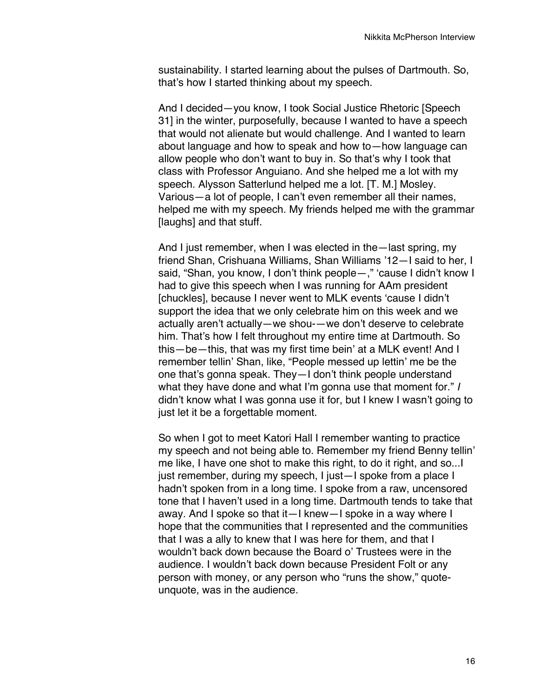sustainability. I started learning about the pulses of Dartmouth. So, that's how I started thinking about my speech.

And I decided—you know, I took Social Justice Rhetoric [Speech 31] in the winter, purposefully, because I wanted to have a speech that would not alienate but would challenge. And I wanted to learn about language and how to speak and how to—how language can allow people who don't want to buy in. So that's why I took that class with Professor Anguiano. And she helped me a lot with my speech. Alysson Satterlund helped me a lot. [T. M.] Mosley. Various—a lot of people, I can't even remember all their names, helped me with my speech. My friends helped me with the grammar [laughs] and that stuff.

And I just remember, when I was elected in the—last spring, my friend Shan, Crishuana Williams, Shan Williams '12—I said to her, I said, "Shan, you know, I don't think people-," 'cause I didn't know I had to give this speech when I was running for AAm president [chuckles], because I never went to MLK events 'cause I didn't support the idea that we only celebrate him on this week and we actually aren't actually—we shou-—we don't deserve to celebrate him. That's how I felt throughout my entire time at Dartmouth. So this—be—this, that was my first time bein' at a MLK event! And I remember tellin' Shan, like, "People messed up lettin' me be the one that's gonna speak. They—I don't think people understand what they have done and what I'm gonna use that moment for." *I* didn't know what I was gonna use it for, but I knew I wasn't going to just let it be a forgettable moment.

So when I got to meet Katori Hall I remember wanting to practice my speech and not being able to. Remember my friend Benny tellin' me like, I have one shot to make this right, to do it right, and so...I just remember, during my speech, I just-I spoke from a place I hadn't spoken from in a long time. I spoke from a raw, uncensored tone that I haven't used in a long time. Dartmouth tends to take that away. And I spoke so that it—I knew—I spoke in a way where I hope that the communities that I represented and the communities that I was a ally to knew that I was here for them, and that I wouldn't back down because the Board o' Trustees were in the audience. I wouldn't back down because President Folt or any person with money, or any person who "runs the show," quoteunquote, was in the audience.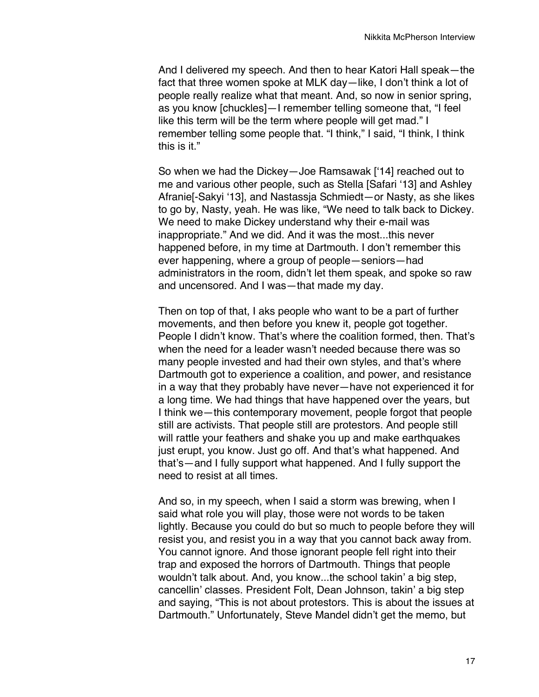And I delivered my speech. And then to hear Katori Hall speak—the fact that three women spoke at MLK day—like, I don't think a lot of people really realize what that meant. And, so now in senior spring, as you know [chuckles]—I remember telling someone that, "I feel like this term will be the term where people will get mad." I remember telling some people that. "I think," I said, "I think, I think this is it."

So when we had the Dickey—Joe Ramsawak ['14] reached out to me and various other people, such as Stella [Safari '13] and Ashley Afranie[-Sakyi '13], and Nastassja Schmiedt—or Nasty, as she likes to go by, Nasty, yeah. He was like, "We need to talk back to Dickey. We need to make Dickey understand why their e-mail was inappropriate." And we did. And it was the most...this never happened before, in my time at Dartmouth. I don't remember this ever happening, where a group of people—seniors—had administrators in the room, didn't let them speak, and spoke so raw and uncensored. And I was—that made my day.

Then on top of that, I aks people who want to be a part of further movements, and then before you knew it, people got together. People I didn't know. That's where the coalition formed, then. That's when the need for a leader wasn't needed because there was so many people invested and had their own styles, and that's where Dartmouth got to experience a coalition, and power, and resistance in a way that they probably have never—have not experienced it for a long time. We had things that have happened over the years, but I think we—this contemporary movement, people forgot that people still are activists. That people still are protestors. And people still will rattle your feathers and shake you up and make earthquakes just erupt, you know. Just go off. And that's what happened. And that's—and I fully support what happened. And I fully support the need to resist at all times.

And so, in my speech, when I said a storm was brewing, when I said what role you will play, those were not words to be taken lightly. Because you could do but so much to people before they will resist you, and resist you in a way that you cannot back away from. You cannot ignore. And those ignorant people fell right into their trap and exposed the horrors of Dartmouth. Things that people wouldn't talk about. And, you know...the school takin' a big step, cancellin' classes. President Folt, Dean Johnson, takin' a big step and saying, "This is not about protestors. This is about the issues at Dartmouth." Unfortunately, Steve Mandel didn't get the memo, but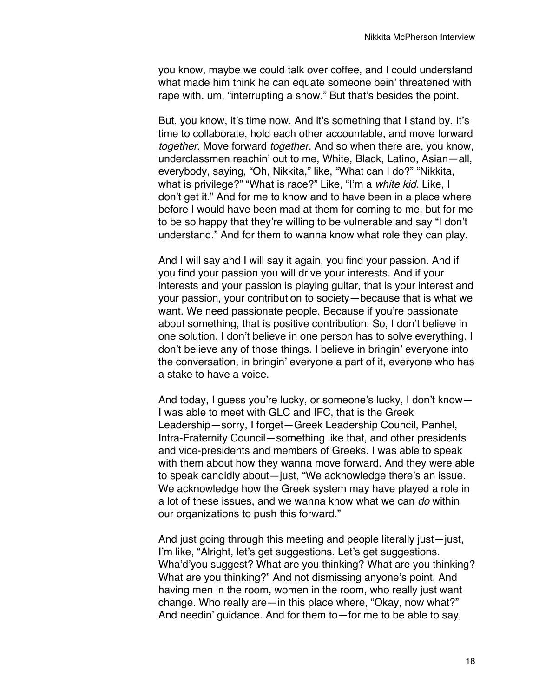you know, maybe we could talk over coffee, and I could understand what made him think he can equate someone bein' threatened with rape with, um, "interrupting a show." But that's besides the point.

But, you know, it's time now. And it's something that I stand by. It's time to collaborate, hold each other accountable, and move forward *together*. Move forward *together*. And so when there are, you know, underclassmen reachin' out to me, White, Black, Latino, Asian—all, everybody, saying, "Oh, Nikkita," like, "What can I do?" "Nikkita, what is privilege?" "What is race?" Like, "I'm a *white kid*. Like, I don't get it." And for me to know and to have been in a place where before I would have been mad at them for coming to me, but for me to be so happy that they're willing to be vulnerable and say "I don't understand." And for them to wanna know what role they can play.

And I will say and I will say it again, you find your passion. And if you find your passion you will drive your interests. And if your interests and your passion is playing guitar, that is your interest and your passion, your contribution to society—because that is what we want. We need passionate people. Because if you're passionate about something, that is positive contribution. So, I don't believe in one solution. I don't believe in one person has to solve everything. I don't believe any of those things. I believe in bringin' everyone into the conversation, in bringin' everyone a part of it, everyone who has a stake to have a voice.

And today, I guess you're lucky, or someone's lucky, I don't know— I was able to meet with GLC and IFC, that is the Greek Leadership—sorry, I forget—Greek Leadership Council, Panhel, Intra-Fraternity Council—something like that, and other presidents and vice-presidents and members of Greeks. I was able to speak with them about how they wanna move forward. And they were able to speak candidly about—just, "We acknowledge there's an issue. We acknowledge how the Greek system may have played a role in a lot of these issues, and we wanna know what we can *do* within our organizations to push this forward."

And just going through this meeting and people literally just—just, I'm like, "Alright, let's get suggestions. Let's get suggestions. Wha'd'you suggest? What are you thinking? What are you thinking? What are you thinking?" And not dismissing anyone's point. And having men in the room, women in the room, who really just want change. Who really are—in this place where, "Okay, now what?" And needin' guidance. And for them to—for me to be able to say,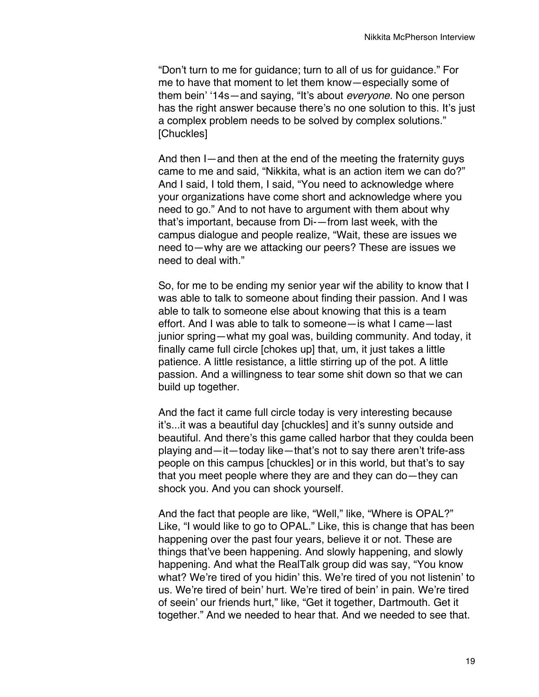"Don't turn to me for guidance; turn to all of us for guidance." For me to have that moment to let them know—especially some of them bein' '14s—and saying, "It's about *everyone.* No one person has the right answer because there's no one solution to this. It's just a complex problem needs to be solved by complex solutions." [Chuckles]

And then I—and then at the end of the meeting the fraternity guys came to me and said, "Nikkita, what is an action item we can do?" And I said, I told them, I said, "You need to acknowledge where your organizations have come short and acknowledge where you need to go." And to not have to argument with them about why that's important, because from Di-—from last week, with the campus dialogue and people realize, "Wait, these are issues we need to—why are we attacking our peers? These are issues we need to deal with."

So, for me to be ending my senior year wif the ability to know that I was able to talk to someone about finding their passion. And I was able to talk to someone else about knowing that this is a team effort. And I was able to talk to someone—is what I came—last junior spring—what my goal was, building community. And today, it finally came full circle [chokes up] that, um, it just takes a little patience. A little resistance, a little stirring up of the pot. A little passion. And a willingness to tear some shit down so that we can build up together.

And the fact it came full circle today is very interesting because it's...it was a beautiful day [chuckles] and it's sunny outside and beautiful. And there's this game called harbor that they coulda been playing and—it—today like—that's not to say there aren't trife-ass people on this campus [chuckles] or in this world, but that's to say that you meet people where they are and they can do—they can shock you. And you can shock yourself.

And the fact that people are like, "Well," like, "Where is OPAL?" Like, "I would like to go to OPAL." Like, this is change that has been happening over the past four years, believe it or not. These are things that've been happening. And slowly happening, and slowly happening. And what the RealTalk group did was say, "You know what? We're tired of you hidin' this. We're tired of you not listenin' to us. We're tired of bein' hurt. We're tired of bein' in pain. We're tired of seein' our friends hurt," like, "Get it together, Dartmouth. Get it together." And we needed to hear that. And we needed to see that.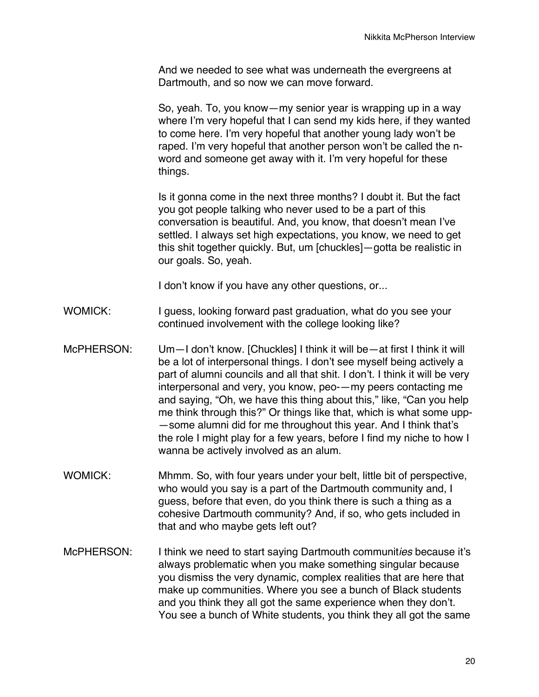And we needed to see what was underneath the evergreens at Dartmouth, and so now we can move forward.

So, yeah. To, you know—my senior year is wrapping up in a way where I'm very hopeful that I can send my kids here, if they wanted to come here. I'm very hopeful that another young lady won't be raped. I'm very hopeful that another person won't be called the nword and someone get away with it. I'm very hopeful for these things.

Is it gonna come in the next three months? I doubt it. But the fact you got people talking who never used to be a part of this conversation is beautiful. And, you know, that doesn't mean I've settled. I always set high expectations, you know, we need to get this shit together quickly. But, um [chuckles]—gotta be realistic in our goals. So, yeah.

I don't know if you have any other questions, or...

- WOMICK: I guess, looking forward past graduation, what do you see your continued involvement with the college looking like?
- McPHERSON: Um—I don't know. [Chuckles] I think it will be—at first I think it will be a lot of interpersonal things. I don't see myself being actively a part of alumni councils and all that shit. I don't. I think it will be very interpersonal and very, you know, peo-—my peers contacting me and saying, "Oh, we have this thing about this," like, "Can you help me think through this?" Or things like that, which is what some upp- —some alumni did for me throughout this year. And I think that's the role I might play for a few years, before I find my niche to how I wanna be actively involved as an alum.
- WOMICK: Mhmm. So, with four years under your belt, little bit of perspective, who would you say is a part of the Dartmouth community and, I guess, before that even, do you think there is such a thing as a cohesive Dartmouth community? And, if so, who gets included in that and who maybe gets left out?
- McPHERSON: I think we need to start saying Dartmouth communit*ies* because it's always problematic when you make something singular because you dismiss the very dynamic, complex realities that are here that make up communities. Where you see a bunch of Black students and you think they all got the same experience when they don't. You see a bunch of White students, you think they all got the same